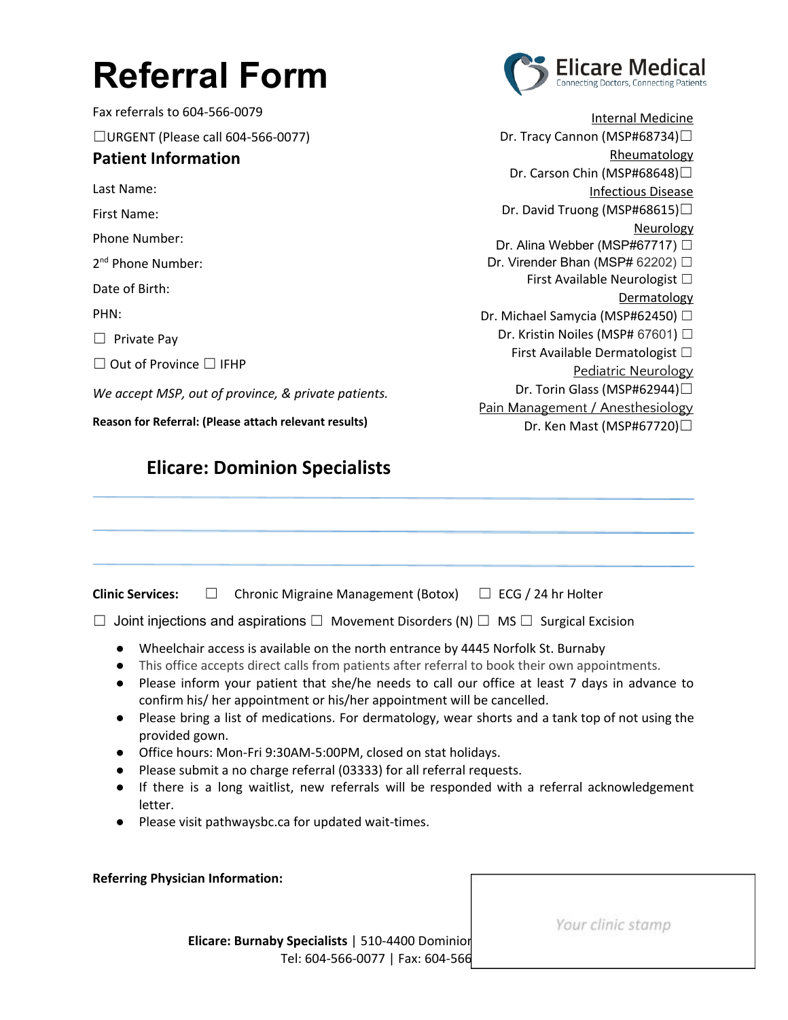## **Referral Form**

Fax referrals to 604-566-0079 ☐URGENT (Please call 604-566-0077) **Patient Information** Last Name: First Name: Phone Number: 2<sup>nd</sup> Phone Number: Date of Birth: PHN:  $\Box$  Private Pay ☐ Out of Province ☐ IFHP *We accept MSP, out of province, & private patients.* **Reason for Referral: (Please attach relevant results)**

## **Elicare: Dominion Specialists**



Internal Medicine Dr. Tracy Cannon (MSP#68734)□ **Rheumatology** Dr. Carson Chin (MSP#68648)□ Infectious Disease Dr. David Truong (MSP#68615)□ Neurology Dr. Alina Webber (MSP#67717) □ Dr. Virender Bhan (MSP# 62202) □ First Available Neurologist  $\Box$ **Dermatology** Dr. Michael Samycia (MSP#62450) □ Dr. Kristin Noiles (MSP# 67601) □ First Available Dermatologist ☐ Pediatric Neurology Dr. Torin Glass (MSP#62944)□ Pain Management / Anesthesiology Dr. Ken Mast (MSP#67720)□

| <b>Clinic Services:</b> | $\Box$ Chronic Migraine Management (Botox) | $\Box$ ECG / 24 hr Holter |
|-------------------------|--------------------------------------------|---------------------------|

☐ Joint injections and aspirations ☐ Movement Disorders (N) ☐ MS ☐ Surgical Excision

- Wheelchair access is available on the north entrance by 4445 Norfolk St. Burnaby
- This office accepts direct calls from patients after referral to book their own appointments.
- Please inform your patient that she/he needs to call our office at least 7 days in advance to confirm his/ her appointment or his/her appointment will be cancelled.
- Please bring a list of medications. For dermatology, wear shorts and a tank top of not using the provided gown.
- Office hours: Mon-Fri 9:30AM-5:00PM, closed on stat holidays.
- Please submit a no charge referral (03333) for all referral requests.
- If there is a long waitlist, new referrals will be responded with a referral acknowledgement letter.
- Please visit pathwaysbc.ca for updated wait-times.

## **Referring Physician Information:**

**Elicare: Burnaby Specialists** | 510-4400 Dominion Tel: 604-566-0077 | Fax: 604-566 Your clinic stamp